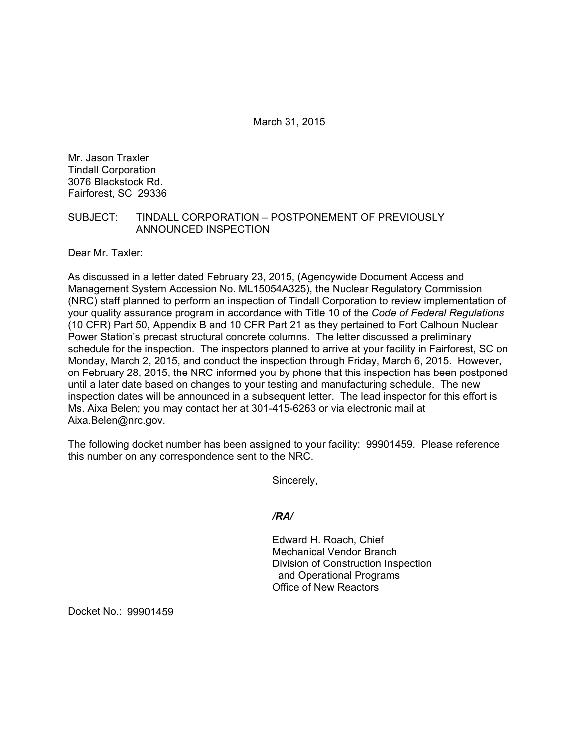March 31, 2015

Mr. Jason Traxler Tindall Corporation 3076 Blackstock Rd. Fairforest, SC 29336

## SUBJECT: TINDALL CORPORATION – POSTPONEMENT OF PREVIOUSLY ANNOUNCED INSPECTION

Dear Mr. Taxler:

As discussed in a letter dated February 23, 2015, (Agencywide Document Access and Management System Accession No. ML15054A325), the Nuclear Regulatory Commission (NRC) staff planned to perform an inspection of Tindall Corporation to review implementation of your quality assurance program in accordance with Title 10 of the *Code of Federal Regulations*  (10 CFR) Part 50, Appendix B and 10 CFR Part 21 as they pertained to Fort Calhoun Nuclear Power Station's precast structural concrete columns. The letter discussed a preliminary schedule for the inspection. The inspectors planned to arrive at your facility in Fairforest, SC on Monday, March 2, 2015, and conduct the inspection through Friday, March 6, 2015. However, on February 28, 2015, the NRC informed you by phone that this inspection has been postponed until a later date based on changes to your testing and manufacturing schedule. The new inspection dates will be announced in a subsequent letter. The lead inspector for this effort is Ms. Aixa Belen; you may contact her at 301-415-6263 or via electronic mail at Aixa.Belen@nrc.gov.

The following docket number has been assigned to your facility: 99901459. Please reference this number on any correspondence sent to the NRC.

Sincerely,

*/RA/* 

Edward H. Roach, Chief Mechanical Vendor Branch Division of Construction Inspection and Operational Programs Office of New Reactors

Docket No.: 99901459